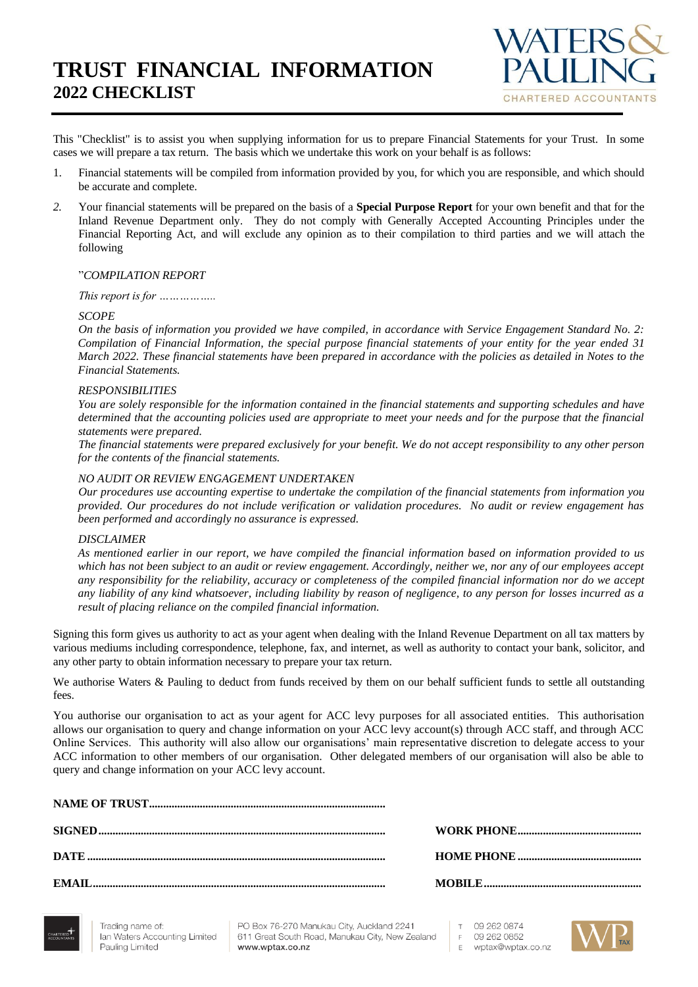# **TRUST FINANCIAL INFORMATION 2022 CHECKLIST**



This "Checklist" is to assist you when supplying information for us to prepare Financial Statements for your Trust. In some cases we will prepare a tax return. The basis which we undertake this work on your behalf is as follows:

- 1. Financial statements will be compiled from information provided by you, for which you are responsible, and which should be accurate and complete.
- *2.* Your financial statements will be prepared on the basis of a **Special Purpose Report** for your own benefit and that for the Inland Revenue Department only. They do not comply with Generally Accepted Accounting Principles under the Financial Reporting Act, and will exclude any opinion as to their compilation to third parties and we will attach the following

#### "*COMPILATION REPORT*

*This report is for ……………..*

#### *SCOPE*

*On the basis of information you provided we have compiled, in accordance with Service Engagement Standard No. 2: Compilation of Financial Information, the special purpose financial statements of your entity for the year ended 31 March 2022. These financial statements have been prepared in accordance with the policies as detailed in Notes to the Financial Statements.*

#### *RESPONSIBILITIES*

*You are solely responsible for the information contained in the financial statements and supporting schedules and have determined that the accounting policies used are appropriate to meet your needs and for the purpose that the financial statements were prepared.*

*The financial statements were prepared exclusively for your benefit. We do not accept responsibility to any other person for the contents of the financial statements.*

#### *NO AUDIT OR REVIEW ENGAGEMENT UNDERTAKEN*

*Our procedures use accounting expertise to undertake the compilation of the financial statements from information you provided. Our procedures do not include verification or validation procedures. No audit or review engagement has been performed and accordingly no assurance is expressed.*

#### *DISCLAIMER*

*As mentioned earlier in our report, we have compiled the financial information based on information provided to us which has not been subject to an audit or review engagement. Accordingly, neither we, nor any of our employees accept any responsibility for the reliability, accuracy or completeness of the compiled financial information nor do we accept any liability of any kind whatsoever, including liability by reason of negligence, to any person for losses incurred as a result of placing reliance on the compiled financial information.*

Signing this form gives us authority to act as your agent when dealing with the Inland Revenue Department on all tax matters by various mediums including correspondence, telephone, fax, and internet, as well as authority to contact your bank, solicitor, and any other party to obtain information necessary to prepare your tax return.

We authorise Waters & Pauling to deduct from funds received by them on our behalf sufficient funds to settle all outstanding fees.

You authorise our organisation to act as your agent for ACC levy purposes for all associated entities. This authorisation allows our organisation to query and change information on your ACC levy account(s) through ACC staff, and through ACC Online Services. This authority will also allow our organisations' main representative discretion to delegate access to your ACC information to other members of our organisation. Other delegated members of our organisation will also be able to query and change information on your ACC levy account.



PO Box 76-270 Manukau City, Auckland 2241 611 Great South Road, Manukau City, New Zealand www.wptax.co.nz

 $T$ 09 262 0874  $F$ 09 262 0852 wptax@wptax.co.nz  $\mathsf E$ 

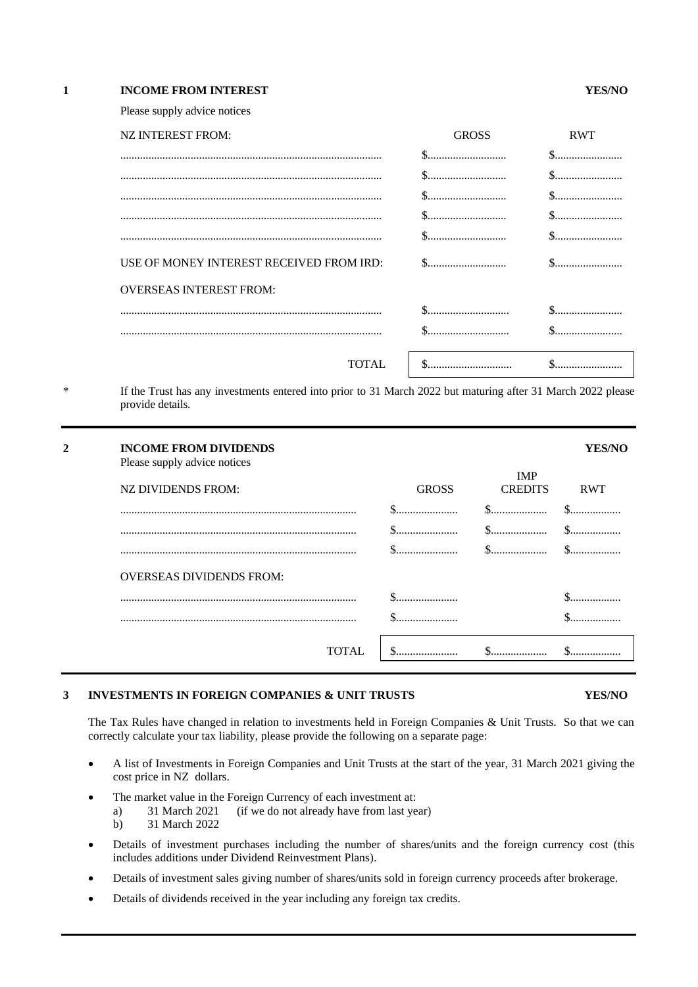| <b>INCOME FROM INTEREST</b> | YES/NO |
|-----------------------------|--------|
|                             |        |

Please supply advice notices

| NZ INTEREST FROM:                        | <b>GROSS</b> | <b>RWT</b>                                     |
|------------------------------------------|--------------|------------------------------------------------|
|                                          |              |                                                |
|                                          |              |                                                |
|                                          |              | $\$\ldots\ldots\ldots\ldots\ldots\ldots\ldots$ |
|                                          |              | $\$$                                           |
|                                          |              |                                                |
| USE OF MONEY INTEREST RECEIVED FROM IRD: | \$           |                                                |
| <b>OVERSEAS INTEREST FROM:</b>           |              |                                                |
|                                          |              |                                                |
|                                          |              |                                                |
|                                          |              |                                                |
| <b>TOTAL</b>                             | \$           |                                                |

If the Trust has any investments entered into prior to 31 March 2022 but maturing after 31 March 2022 please provide details.

| $\mathbf 2$ | <b>INCOME FROM DIVIDENDS</b><br>Please supply advice notices |              |                              |            |
|-------------|--------------------------------------------------------------|--------------|------------------------------|------------|
|             | NZ DIVIDENDS FROM:                                           | <b>GROSS</b> | <b>IMP</b><br><b>CREDITS</b> | <b>RWT</b> |
|             |                                                              |              |                              |            |
|             |                                                              | .            | .                            |            |
|             |                                                              |              |                              |            |
|             | <b>OVERSEAS DIVIDENDS FROM:</b>                              |              |                              |            |
|             |                                                              |              |                              |            |
|             |                                                              |              |                              |            |
|             | TOTAL                                                        | .            |                              |            |

#### **3 INVESTMENTS IN FOREIGN COMPANIES & UNIT TRUSTS YES/NO**

The Tax Rules have changed in relation to investments held in Foreign Companies & Unit Trusts. So that we can correctly calculate your tax liability, please provide the following on a separate page:

- A list of Investments in Foreign Companies and Unit Trusts at the start of the year, 31 March 2021 giving the cost price in NZ dollars.
- The market value in the Foreign Currency of each investment at:<br>a) 31 March 2021 (if we do not already have from last ye a) 31 March 2021 (if we do not already have from last year) b) 31 March 2022
- Details of investment purchases including the number of shares/units and the foreign currency cost (this includes additions under Dividend Reinvestment Plans).
- Details of investment sales giving number of shares/units sold in foreign currency proceeds after brokerage.
- Details of dividends received in the year including any foreign tax credits.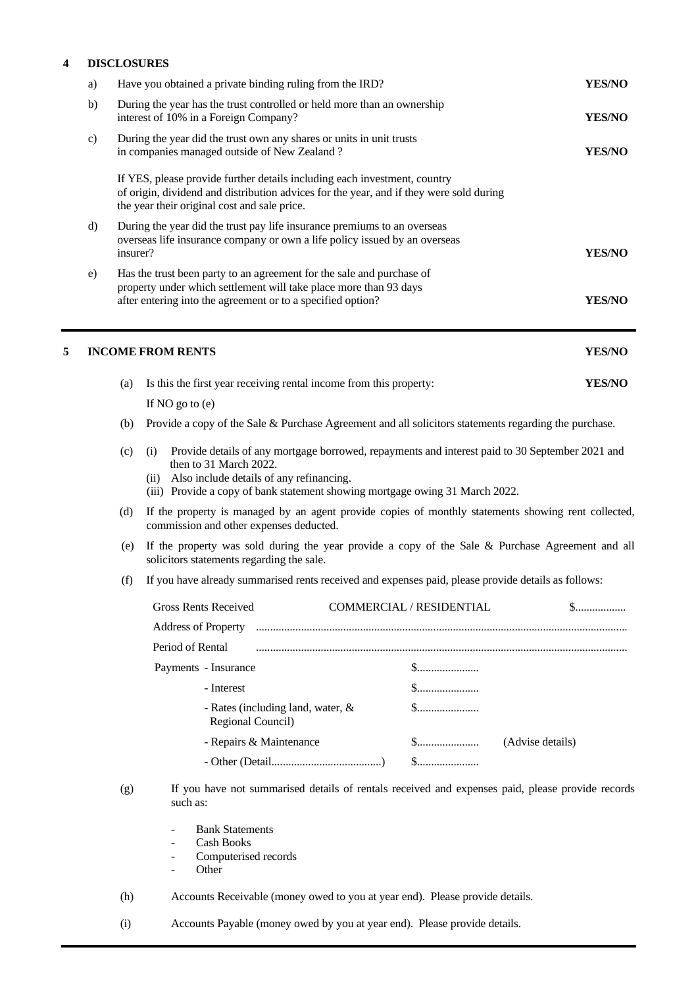## **4 DISCLOSURES**

|   | a)                                                                                                                                                                                                              |     | Have you obtained a private binding ruling from the IRD?                                                                                                                                                                                                             | YES/NO        |
|---|-----------------------------------------------------------------------------------------------------------------------------------------------------------------------------------------------------------------|-----|----------------------------------------------------------------------------------------------------------------------------------------------------------------------------------------------------------------------------------------------------------------------|---------------|
|   | b)                                                                                                                                                                                                              |     | During the year has the trust controlled or held more than an ownership<br>interest of 10% in a Foreign Company?                                                                                                                                                     | <b>YES/NO</b> |
|   | $\mathbf{c})$                                                                                                                                                                                                   |     | During the year did the trust own any shares or units in unit trusts<br>in companies managed outside of New Zealand?                                                                                                                                                 | <b>YES/NO</b> |
|   |                                                                                                                                                                                                                 |     | If YES, please provide further details including each investment, country<br>of origin, dividend and distribution advices for the year, and if they were sold during<br>the year their original cost and sale price.                                                 |               |
|   | During the year did the trust pay life insurance premiums to an overseas<br>$\rm d$<br>overseas life insurance company or own a life policy issued by an overseas<br>insurer?                                   |     | YES/NO                                                                                                                                                                                                                                                               |               |
|   | Has the trust been party to an agreement for the sale and purchase of<br>e)<br>property under which settlement will take place more than 93 days<br>after entering into the agreement or to a specified option? |     | YES/NO                                                                                                                                                                                                                                                               |               |
| 5 |                                                                                                                                                                                                                 |     | <b>INCOME FROM RENTS</b>                                                                                                                                                                                                                                             | YES/NO        |
|   |                                                                                                                                                                                                                 | (a) | Is this the first year receiving rental income from this property:                                                                                                                                                                                                   | YES/NO        |
|   |                                                                                                                                                                                                                 |     | If $NO$ go to $(e)$                                                                                                                                                                                                                                                  |               |
|   |                                                                                                                                                                                                                 | (b) | Provide a copy of the Sale & Purchase Agreement and all solicitors statements regarding the purchase.                                                                                                                                                                |               |
|   |                                                                                                                                                                                                                 | (c) | Provide details of any mortgage borrowed, repayments and interest paid to 30 September 2021 and<br>(i)<br>then to 31 March 2022.<br>Also include details of any refinancing.<br>(ii)<br>(iii) Provide a copy of bank statement showing mortgage owing 31 March 2022. |               |
|   |                                                                                                                                                                                                                 |     |                                                                                                                                                                                                                                                                      |               |

- (d) If the property is managed by an agent provide copies of monthly statements showing rent collected, commission and other expenses deducted.
- (e) If the property was sold during the year provide a copy of the Sale & Purchase Agreement and all solicitors statements regarding the sale.
- (f) If you have already summarised rents received and expenses paid, please provide details as follows:

| <b>Gross Rents Received</b>                               | COMMERCIAL / RESIDENTIAL | $\S$                             |
|-----------------------------------------------------------|--------------------------|----------------------------------|
| <b>Address of Property</b>                                |                          |                                  |
| Period of Rental                                          |                          |                                  |
| Payments - Insurance                                      |                          |                                  |
| - Interest                                                |                          | $\mathbb{S}$                     |
| - Rates (including land, water, $\&$<br>Regional Council) |                          | $\S$                             |
| - Repairs & Maintenance                                   |                          | $\mathbb{S}$<br>(Advise details) |
|                                                           |                          | $\mathbb{S}$                     |

- (g) If you have not summarised details of rentals received and expenses paid, please provide records such as:
	- Bank Statements
	- Cash Books
	- Computerised records
	- Other<sup>-</sup>

(h) Accounts Receivable (money owed to you at year end). Please provide details.

(i) Accounts Payable (money owed by you at year end). Please provide details.